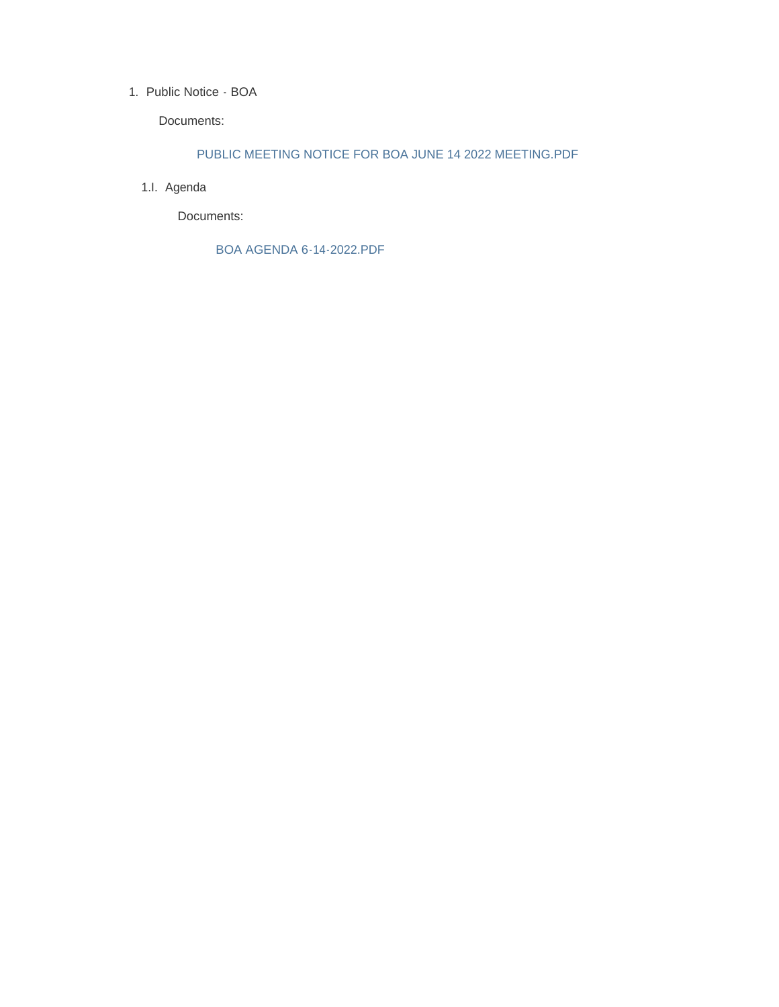## 1. Public Notice - BOA

Documents:

## PUBLIC MEETING NOTICE FOR BOA JUNE 14 2022 MEETING.PDF

1.I. Agenda

Documents:

BOA AGENDA 6-14-2022.PDF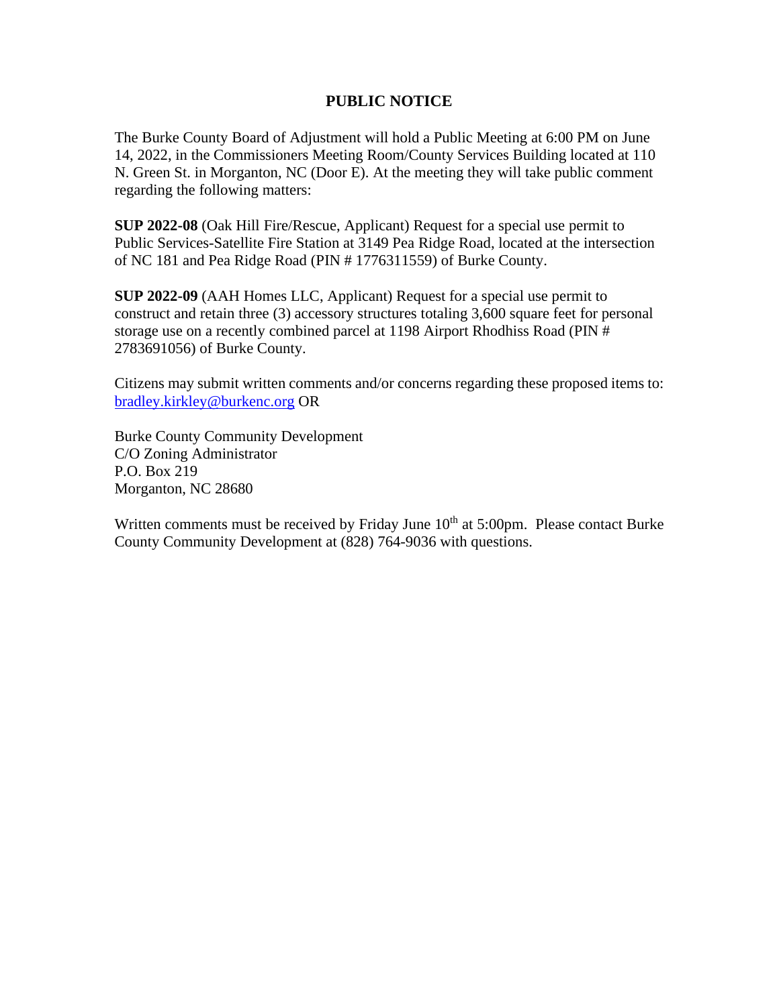## **PUBLIC NOTICE**

The Burke County Board of Adjustment will hold a Public Meeting at 6:00 PM on June 14, 2022, in the Commissioners Meeting Room/County Services Building located at 110 N. Green St. in Morganton, NC (Door E). At the meeting they will take public comment regarding the following matters:

**SUP 2022-08** (Oak Hill Fire/Rescue, Applicant) Request for a special use permit to Public Services-Satellite Fire Station at 3149 Pea Ridge Road, located at the intersection of NC 181 and Pea Ridge Road (PIN # 1776311559) of Burke County.

**SUP 2022-09** (AAH Homes LLC, Applicant) Request for a special use permit to construct and retain three (3) accessory structures totaling 3,600 square feet for personal storage use on a recently combined parcel at 1198 Airport Rhodhiss Road (PIN # 2783691056) of Burke County.

Citizens may submit written comments and/or concerns regarding these proposed items to: [bradley.kirkley@burkenc.org](mailto:bradley.kirkley@burkenc.org) OR

Burke County Community Development C/O Zoning Administrator P.O. Box 219 Morganton, NC 28680

Written comments must be received by Friday June  $10<sup>th</sup>$  at 5:00pm. Please contact Burke County Community Development at (828) 764-9036 with questions.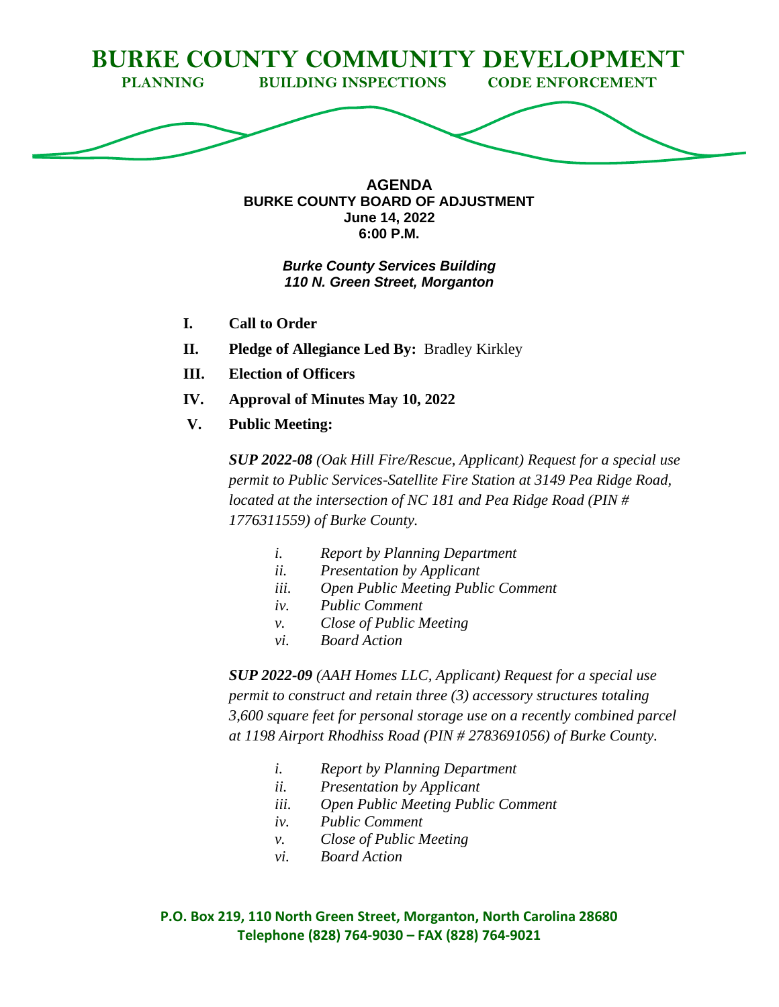

**AGENDA BURKE COUNTY BOARD OF ADJUSTMENT June 14, 2022 6:00 P.M.**

## *Burke County Services Building 110 N. Green Street, Morganton*

- **I. Call to Order**
- **II. Pledge of Allegiance Led By:** Bradley Kirkley
- **III. Election of Officers**
- **IV. Approval of Minutes May 10, 2022**
- **V. Public Meeting:**

*SUP 2022-08 (Oak Hill Fire/Rescue, Applicant) Request for a special use permit to Public Services-Satellite Fire Station at 3149 Pea Ridge Road, located at the intersection of NC 181 and Pea Ridge Road (PIN # 1776311559) of Burke County.*

- *i. Report by Planning Department*
- *ii. Presentation by Applicant*
- *iii. Open Public Meeting Public Comment*
- *iv. Public Comment*
- *v. Close of Public Meeting*
- *vi. Board Action*

*SUP 2022-09 (AAH Homes LLC, Applicant) Request for a special use permit to construct and retain three (3) accessory structures totaling 3,600 square feet for personal storage use on a recently combined parcel at 1198 Airport Rhodhiss Road (PIN # 2783691056) of Burke County.*

- *i. Report by Planning Department*
- *ii. Presentation by Applicant*
- *iii. Open Public Meeting Public Comment*
- *iv. Public Comment*
- *v. Close of Public Meeting*
- *vi. Board Action*

**P.O. Box 219, 110 North Green Street, Morganton, North Carolina 28680 Telephone (828) 764-9030 – FAX (828) 764-9021**